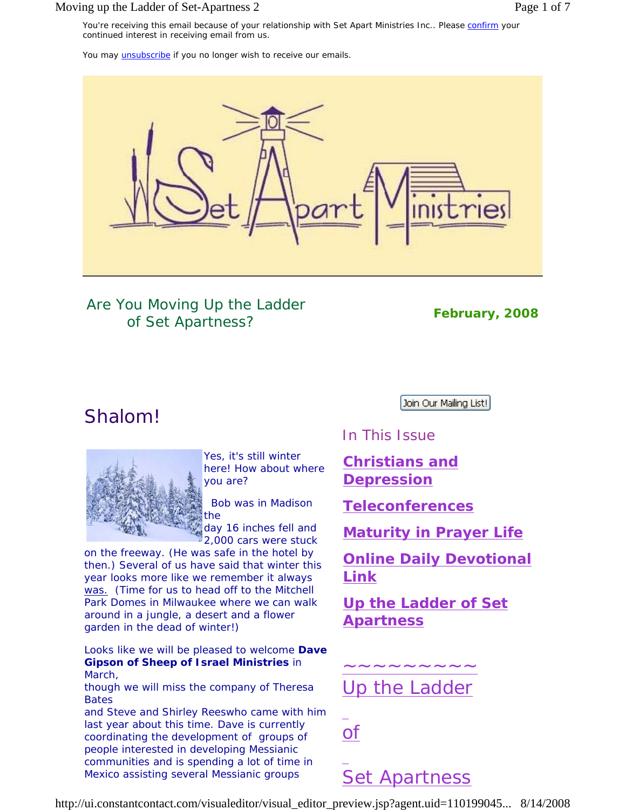### Moving up the Ladder of Set-Apartness 2 Page 1 of 7

You may *unsubscribe* if you no longer wish to receive our emails.



Are *You* Moving Up the Ladder of Set Apartness? *February, 2008*

# Shalom!



Yes, it's still winter here! How about where you are?

 Bob was in Madison the

day 16 inches fell and 2,000 cars were stuck

on the freeway. (He was safe in the hotel by then.) Several of us have said that winter this year looks more like we remember it always *was. (*Time for us to head off to the Mitchell Park Domes in Milwaukee where we can walk around in a jungle, a desert and a flower garden in the dead of winter!)

Looks like we will be pleased to welcome **Dave Gipson of Sheep of Israel Ministries** in March,

though we will miss the company of Theresa Bates

and Steve and Shirley Reeswho came with him last year about this time. Dave is currently coordinating the development of groups of people interested in developing Messianic communities and is spending a lot of time in Mexico assisting several Messianic groups

Join Our Mailing List!

In This Issue

**Christians and Depression**

**Teleconferences**

**Maturity in Prayer Life**

**Online Daily Devotional Link**

**Up the Ladder of Set Apartness**

Up the Ladder

~~~~~~~~~

of

# *Set Apartness*

http://ui.constantcontact.com/visualeditor/visual\_editor\_preview.jsp?agent.uid=110199045... 8/14/2008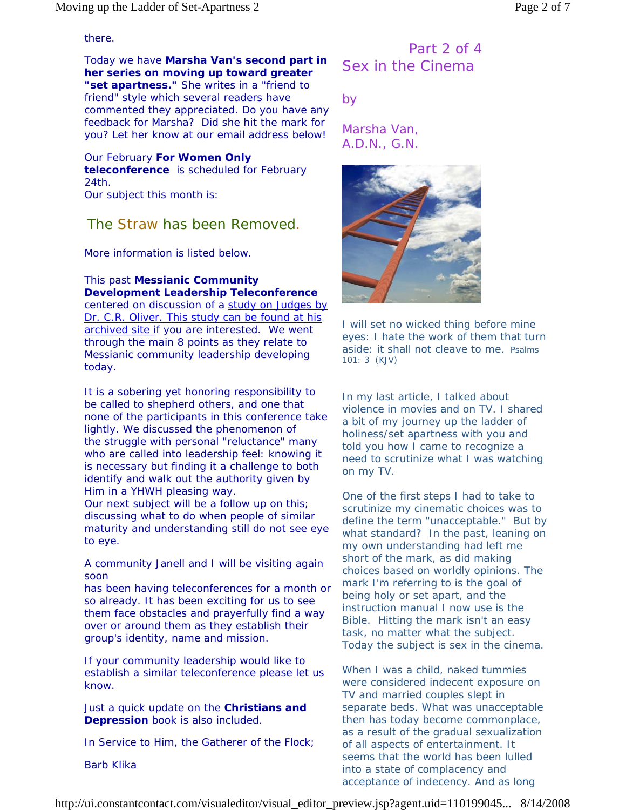### there.

Today we have **Marsha Van's second part in her series on moving up toward greater "set apartness."** She writes in a "friend to friend" style which several readers have commented they appreciated. Do you have any feedback for Marsha? Did she hit the mark for you? Let her know at our email address below!

Our February **For Women Only teleconference** is scheduled for February 24th. Our subject this month is:

# The Straw has been Removed.

More information is listed below.

### This past **Messianic Community Development Leadership Teleconference**

centered on discussion of a study on Judges by Dr. C.R. Oliver. This study can be found at his archived site if you are interested. We went through the main 8 points as they relate to Messianic community leadership developing today.

It is a sobering yet honoring responsibility to be called to shepherd others, and one that none of the participants in this conference take lightly. We discussed the phenomenon of the struggle with personal "reluctance" many who are called into leadership feel: knowing it is necessary but finding it a challenge to both identify and walk out the authority given by Him in a YHWH pleasing way.

Our next subject will be a follow up on this; discussing what to do when people of similar maturity and understanding still do not see eye to eye.

A community Janell and I will be visiting again soon

has been having teleconferences for a month or so already. It has been exciting for us to see them face obstacles and prayerfully find a way over or around them as they establish their group's identity, name and mission.

If your community leadership would like to establish a similar teleconference please let us know.

Just a quick update on the **Christians and Depression** book is also included.

In Service to Him, the Gatherer of the Flock;

Barb Klika

# Part 2 of 4 Sex in the Cinema

*by* 

*Marsha Van, A.D.N., G.N.* 



*I will set no wicked thing before mine eyes: I hate the work of them that turn aside: it shall not cleave to me.* Psalms 101: 3 (KJV)

In my last article, I talked about violence in movies and on TV. I shared a bit of my journey up the ladder of holiness/set apartness with you and told you how I came to recognize a need to scrutinize what I was watching on my TV.

One of the first steps I had to take to scrutinize my cinematic choices was to define the term "unacceptable." But by what standard? In the past, leaning on my own understanding had left me short of the mark, as did making choices based on worldly opinions. The mark I'm referring to is the goal of being holy or set apart, and the instruction manual I now use is the Bible. Hitting the mark isn't an easy task, no matter what the subject. Today the subject is sex in the cinema.

When I was a child, naked tummies were considered indecent exposure on TV and married couples slept in separate beds. What was unacceptable then has today become commonplace, as a result of the gradual sexualization of all aspects of entertainment. It seems that the world has been lulled into a state of complacency and acceptance of indecency. And as long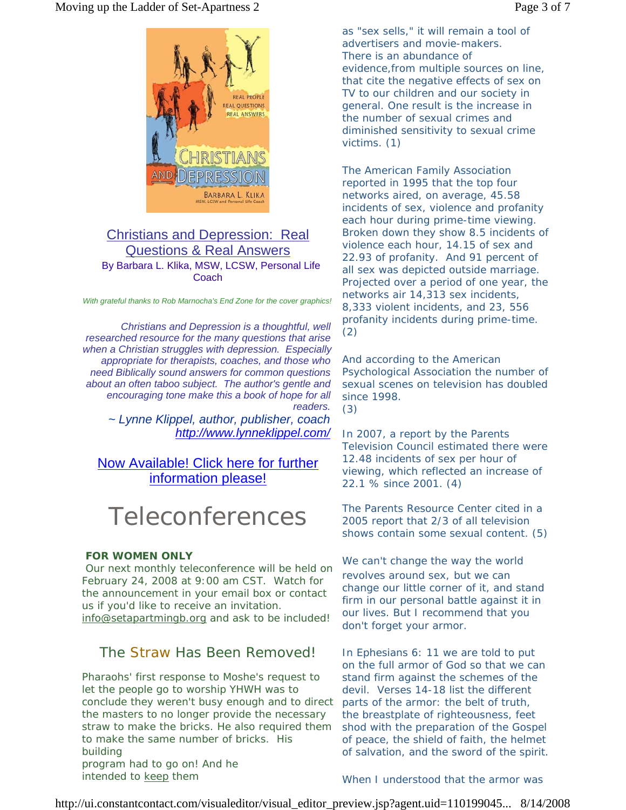

### Christians and Depression: Real Questions & Real Answers By Barbara L. Klika, MSW, LCSW, Personal Life **Coach**

*With grateful thanks to Rob Marnocha's End Zone for the cover graphics!*

*Christians and Depression is a thoughtful, well researched resource for the many questions that arise when a Christian struggles with depression. Especially appropriate for therapists, coaches, and those who need Biblically sound answers for common questions about an often taboo subject. The author's gentle and encouraging tone make this a book of hope for all readers.*

*~ Lynne Klippel, author, publisher, coach http://www.lynneklippel.com/*

# Now Available! Click here for further information please!

# Teleconferences

### *FOR WOMEN ONLY*

 Our next monthly teleconference will be held on February 24, 2008 at 9:00 am CST. Watch for the announcement in your email box or contact us if you'd like to receive an invitation. info@setapartmingb.org and ask to be included!

## The Straw Has Been Removed!

Pharaohs' first response to Moshe's request to let the people go to worship YHWH was to conclude they weren't busy enough and to direct the masters to no longer provide the necessary straw to make the bricks. He also required them to make the same number of bricks. His building program had to go on! And he intended to keep them

as "sex sells," it will remain a tool of advertisers and movie-makers. There is an abundance of evidence,from multiple sources on line, that cite the negative effects of sex on TV to our children and our society in general. One result is the increase in the number of sexual crimes and diminished sensitivity to sexual crime victims. (1)

The American Family Association reported in 1995 that the top four networks aired, on average, 45.58 incidents of sex, violence and profanity each hour during prime-time viewing. Broken down they show 8.5 incidents of violence each hour, 14.15 of sex and 22.93 of profanity. And 91 percent of all sex was depicted outside marriage. Projected over a period of one year, the networks air 14,313 sex incidents, 8,333 violent incidents, and 23, 556 profanity incidents during prime-time. (2)

And according to the American Psychological Association the number of sexual scenes on television has doubled since 1998.

(3)

In 2007, a report by the Parents Television Council estimated there were 12.48 incidents of sex per hour of viewing, which reflected an increase of 22.1 % since 2001. (4)

The Parents Resource Center cited in a 2005 report that 2/3 of all television shows contain some sexual content. (5)

We can't change the way the world revolves around sex, but we can change our little corner of it, and stand firm in our personal battle against it in our lives. But I recommend that you don't forget your armor.

In Ephesians 6: 11 we are told to put on the full armor of God so that we can stand firm against the schemes of the devil. Verses 14-18 list the different parts of the armor: the belt of truth, the breastplate of righteousness, feet shod with the preparation of the Gospel of peace, the shield of faith, the helmet of salvation, and the sword of the spirit.

When I understood that the armor was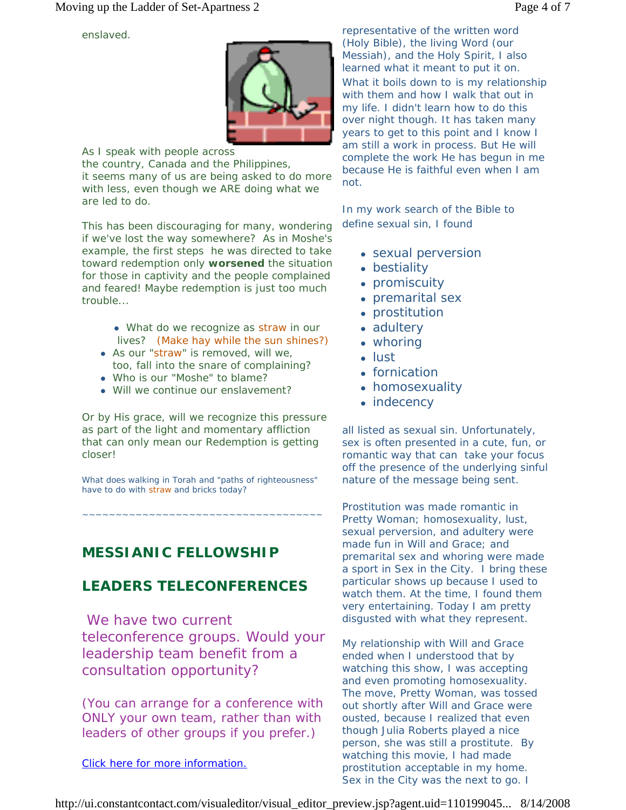enslaved.



As I speak with people across the country, Canada and the Philippines, it seems many of us are being asked to do more with less, even though we ARE doing what we are led to do.

This has been discouraging for many, wondering if we've lost the way somewhere? As in Moshe's example, the first steps he was directed to take toward redemption only **worsened** the situation for those in captivity and the people complained and feared! *Maybe redemption is just too much trouble...*

- What do we recognize as straw in our lives? (Make hay while the sun shines?)
- As our "straw" is removed, will we, too, fall into the snare of complaining?
- Who is our "Moshe" to blame?
- Will we continue *our* enslavement?

Or by His grace, will we recognize this pressure as part of the light and momentary affliction that can only mean our Redemption is getting closer!

What does walking in Torah and "paths of righteousness" have to do with straw and bricks today?

~~~~~~~~~~~~~~~~~~~~~~~~~~~~~~~~~~~

*MESSIANIC FELLOWSHIP* 

# *LEADERS TELECONFERENCES*

We have two current teleconference groups. Would your leadership team benefit from a consultation opportunity?

(You can arrange for a conference with *ONLY* your own team, rather than with leaders of other groups if you prefer.)

Click here for more information.

representative of the written word (Holy Bible), the living Word (our Messiah), and the Holy Spirit, I also learned what it meant to put it on. What it boils down to is my relationship with them and how I walk that out in my life. I didn't learn how to do this over night though. It has taken many years to get to this point and I know I am still a work in process. But He will complete the work He has begun in me because He is faithful even when I am not.

In my work search of the Bible to define sexual sin, I found

- sexual perversion
- bestiality
- promiscuity
- premarital sex
- prostitution
- adultery
- $\bullet$  whoring
- <sup>z</sup> lust
- fornication
- homosexuality
- $\bullet$  indecency

all listed as sexual sin. Unfortunately, sex is often presented in a cute, fun, or romantic way that can take your focus off the presence of the underlying sinful nature of the message being sent.

Prostitution was made romantic in *Pretty Woman;* homosexuality, lust, sexual perversion, and adultery were made fun in *Will and Grace;* and premarital sex and whoring were made a sport in *Sex in the City*. I bring these particular shows up because I used to watch them. At the time, I found them very entertaining. Today I am pretty disgusted with what they represent.

My relationship with *Will and Grace* ended when I understood that by watching this show, I was accepting and even promoting homosexuality. The move, *Pretty Woman*, was tossed out shortly after *Will and Grace* were ousted, because I realized that even though Julia Roberts played a nice person, she was still a prostitute. By watching this movie, I had made prostitution acceptable in my home. *Sex in the City* was the next to go. I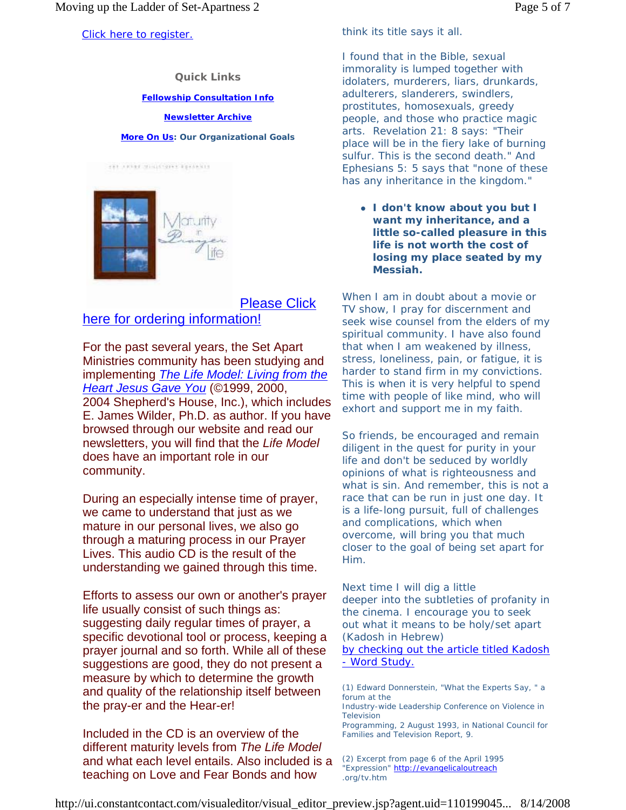**Quick Links**

### **Fellowship Consultation Info**

### **Newsletter Archive**

#### **More On Us: Our Organizational Goals**



### Please Click here for ordering information!

For the past several years, the Set Apart Ministries community has been studying and implementing *The Life Model: Living from the Heart Jesus Gave You* (©1999, 2000, 2004 Shepherd's House, Inc.), which includes E. James Wilder, Ph.D. as author. If you have browsed through our website and read our newsletters, you will find that the *Life Model* does have an important role in our community.

During an especially intense time of prayer, we came to understand that just as we mature in our personal lives, we also go through a maturing process in our Prayer Lives. This audio CD is the result of the understanding we gained through this time.

Efforts to assess our own or another's prayer life usually consist of such things as: suggesting daily regular times of prayer, a specific devotional tool or process, keeping a prayer journal and so forth. While all of these suggestions are good, they do not present a measure by which to determine the growth and quality of the relationship itself between the pray-er and the Hear-er!

Included in the CD is an overview of the different maturity levels from *The Life Model* and what each level entails. Also included is a teaching on Love and Fear Bonds and how

think its title says it all.

I found that in the Bible, sexual immorality is lumped together with idolaters, murderers, liars, drunkards, adulterers, slanderers, swindlers, prostitutes, homosexuals, greedy people, and those who practice magic arts. Revelation 21: 8 says: *"Their place will be in the fiery lake of burning sulfur. This is the second death."* And Ephesians 5: 5 says that *"none of these has any inheritance in the kingdom."*

<sup>z</sup> *I don't know about you but I want my inheritance, and a little so-called pleasure in this life is not worth the cost of losing my place seated by my Messiah.*

When I am in doubt about a movie or TV show, I pray for discernment and seek wise counsel from the elders of my spiritual community. I have also found that when I am weakened by illness, stress, loneliness, pain, or fatigue, it is harder to stand firm in my convictions. This is when it is very helpful to spend time with people of like mind, who will exhort and support me in my faith.

So friends, be encouraged and remain diligent in the quest for purity in your life and don't be seduced by worldly opinions of what is righteousness and what is sin. And remember, this is not a race that can be run in just one day. It is a life-long pursuit, full of challenges and complications, which when overcome, will bring you that much closer to the goal of being set apart for Him.

Next time I will dig a little deeper into the subtleties of profanity in the cinema. I encourage you to seek out what it means to be holy/set apart (Kadosh in Hebrew)

by checking out the article titled Kadosh - Word Study.

(1) Edward Donnerstein, "What the Experts Say, " a forum at the

Industry-wide Leadership Conference on Violence in **Television** 

Programming, 2 August 1993, in National Council for Families and Television Report, 9.

(2) Excerpt from page 6 of the April 1995 "Expression" http://evangelicaloutreach .org/tv.htm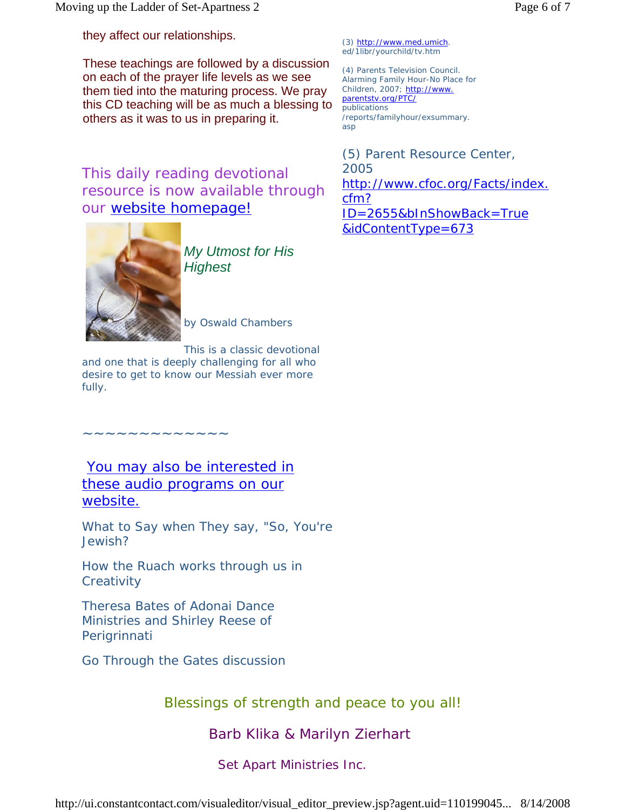they affect our relationships.

These teachings are followed by a discussion on each of the prayer life levels as we see them tied into the maturing process. We pray this CD teaching will be as much a blessing to others as it was to us in preparing it.

This daily reading devotional resource is now available through our website homepage!



*My Utmost for His Highest*

by Oswald Chambers

This is a classic devotional

and one that is deeply challenging for all who desire to get to know our Messiah ever more fully.

You may also be interested in these audio programs on our website.

~~~~~~~~~~~~~

*What to Say when They say, "So, You're Jewish?*

*How the Ruach works through us in Creativity* 

*Theresa Bates of Adonai Dance Ministries and Shirley Reese of Perigrinnati*

*Go Through the Gates discussion*

Blessings of strength and peace to you all!

*Barb Klika & Marilyn Zierhart*

Set Apart Ministries Inc.

(3) http://www.med.umich. ed/1libr/yourchild/tv.htm

(4) Parents Television Council. Alarming Family Hour-No Place for Children, 2007; http://www. parentstv.org/PTC/ publications /reports/familyhour/exsummary. asp

(5) Parent Resource Center, 2005 http://www.cfoc.org/Facts/index. cfm? ID=2655&bInShowBack=True &idContentType=673